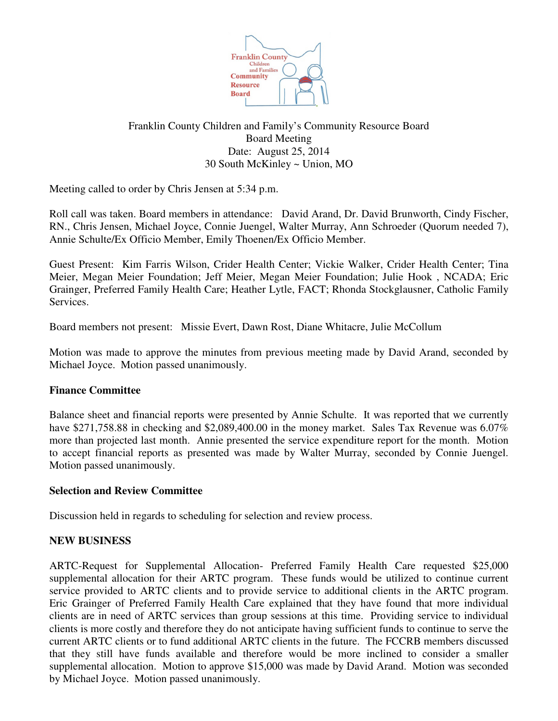

# Franklin County Children and Family's Community Resource Board Board Meeting Date: August 25, 2014 30 South McKinley ~ Union, MO

Meeting called to order by Chris Jensen at 5:34 p.m.

Roll call was taken. Board members in attendance: David Arand, Dr. David Brunworth, Cindy Fischer, RN., Chris Jensen, Michael Joyce, Connie Juengel, Walter Murray, Ann Schroeder (Quorum needed 7), Annie Schulte/Ex Officio Member, Emily Thoenen/Ex Officio Member.

Guest Present: Kim Farris Wilson, Crider Health Center; Vickie Walker, Crider Health Center; Tina Meier, Megan Meier Foundation; Jeff Meier, Megan Meier Foundation; Julie Hook , NCADA; Eric Grainger, Preferred Family Health Care; Heather Lytle, FACT; Rhonda Stockglausner, Catholic Family Services.

Board members not present: Missie Evert, Dawn Rost, Diane Whitacre, Julie McCollum

Motion was made to approve the minutes from previous meeting made by David Arand, seconded by Michael Joyce. Motion passed unanimously.

## **Finance Committee**

Balance sheet and financial reports were presented by Annie Schulte. It was reported that we currently have \$271,758.88 in checking and \$2,089,400.00 in the money market. Sales Tax Revenue was 6.07% more than projected last month. Annie presented the service expenditure report for the month. Motion to accept financial reports as presented was made by Walter Murray, seconded by Connie Juengel. Motion passed unanimously.

### **Selection and Review Committee**

Discussion held in regards to scheduling for selection and review process.

## **NEW BUSINESS**

ARTC-Request for Supplemental Allocation- Preferred Family Health Care requested \$25,000 supplemental allocation for their ARTC program. These funds would be utilized to continue current service provided to ARTC clients and to provide service to additional clients in the ARTC program. Eric Grainger of Preferred Family Health Care explained that they have found that more individual clients are in need of ARTC services than group sessions at this time. Providing service to individual clients is more costly and therefore they do not anticipate having sufficient funds to continue to serve the current ARTC clients or to fund additional ARTC clients in the future. The FCCRB members discussed that they still have funds available and therefore would be more inclined to consider a smaller supplemental allocation. Motion to approve \$15,000 was made by David Arand. Motion was seconded by Michael Joyce. Motion passed unanimously.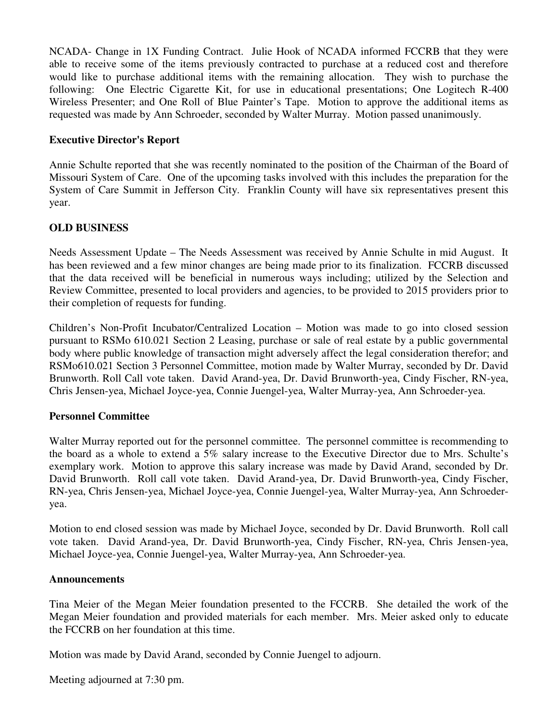NCADA- Change in 1X Funding Contract. Julie Hook of NCADA informed FCCRB that they were able to receive some of the items previously contracted to purchase at a reduced cost and therefore would like to purchase additional items with the remaining allocation. They wish to purchase the following: One Electric Cigarette Kit, for use in educational presentations; One Logitech R-400 Wireless Presenter; and One Roll of Blue Painter's Tape. Motion to approve the additional items as requested was made by Ann Schroeder, seconded by Walter Murray. Motion passed unanimously.

### **Executive Director's Report**

Annie Schulte reported that she was recently nominated to the position of the Chairman of the Board of Missouri System of Care. One of the upcoming tasks involved with this includes the preparation for the System of Care Summit in Jefferson City. Franklin County will have six representatives present this year.

## **OLD BUSINESS**

Needs Assessment Update – The Needs Assessment was received by Annie Schulte in mid August. It has been reviewed and a few minor changes are being made prior to its finalization. FCCRB discussed that the data received will be beneficial in numerous ways including; utilized by the Selection and Review Committee, presented to local providers and agencies, to be provided to 2015 providers prior to their completion of requests for funding.

Children's Non-Profit Incubator/Centralized Location – Motion was made to go into closed session pursuant to RSMo 610.021 Section 2 Leasing, purchase or sale of real estate by a public governmental body where public knowledge of transaction might adversely affect the legal consideration therefor; and RSMo610.021 Section 3 Personnel Committee, motion made by Walter Murray, seconded by Dr. David Brunworth. Roll Call vote taken. David Arand-yea, Dr. David Brunworth-yea, Cindy Fischer, RN-yea, Chris Jensen-yea, Michael Joyce-yea, Connie Juengel-yea, Walter Murray-yea, Ann Schroeder-yea.

## **Personnel Committee**

Walter Murray reported out for the personnel committee. The personnel committee is recommending to the board as a whole to extend a 5% salary increase to the Executive Director due to Mrs. Schulte's exemplary work. Motion to approve this salary increase was made by David Arand, seconded by Dr. David Brunworth. Roll call vote taken. David Arand-yea, Dr. David Brunworth-yea, Cindy Fischer, RN-yea, Chris Jensen-yea, Michael Joyce-yea, Connie Juengel-yea, Walter Murray-yea, Ann Schroederyea.

Motion to end closed session was made by Michael Joyce, seconded by Dr. David Brunworth. Roll call vote taken. David Arand-yea, Dr. David Brunworth-yea, Cindy Fischer, RN-yea, Chris Jensen-yea, Michael Joyce-yea, Connie Juengel-yea, Walter Murray-yea, Ann Schroeder-yea.

### **Announcements**

Tina Meier of the Megan Meier foundation presented to the FCCRB. She detailed the work of the Megan Meier foundation and provided materials for each member. Mrs. Meier asked only to educate the FCCRB on her foundation at this time.

Motion was made by David Arand, seconded by Connie Juengel to adjourn.

Meeting adjourned at 7:30 pm.